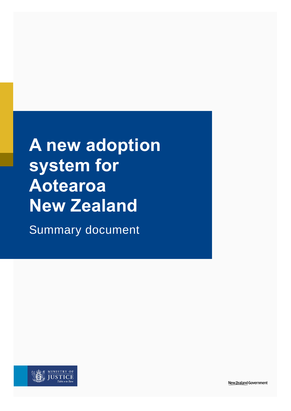**A new adoption system for Aotearoa New Zealand**

Summary document

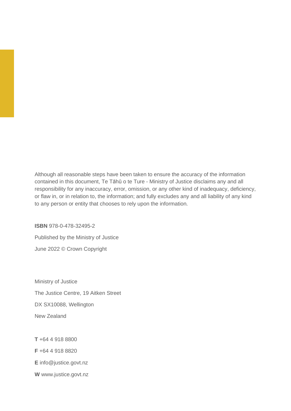Although all reasonable steps have been taken to ensure the accuracy of the information contained in this document, Te Tāhū o te Ture - Ministry of Justice disclaims any and all responsibility for any inaccuracy, error, omission, or any other kind of inadequacy, deficiency, or flaw in, or in relation to, the information; and fully excludes any and all liability of any kind to any person or entity that chooses to rely upon the information.

**ISBN** 978-0-478-32495-2

Published by the Ministry of Justice June 2022 © Crown Copyright

Ministry of Justice The Justice Centre, 19 Aitken Street DX SX10088, Wellington New Zealand

**T** +64 4 918 8800 **F** +64 4 918 8820 **E** [info@justice.govt.nz](mailto:info@justice.govt.nz) **W** [www.justice.govt.nz](http://www.justice.govt.nz/)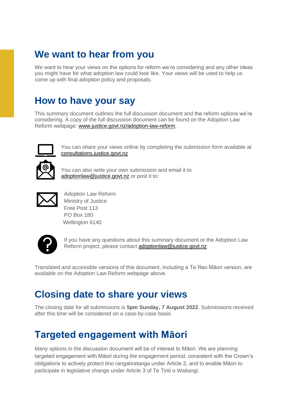### **We want to hear from you**

We want to hear your views on the options for reform we're considering and any other ideas you might have for what adoption law could look like. Your views will be used to help us come up with final adoption policy and proposals.

### **How to have your say**

This summary document outlines the full discussion document and the reform options we're considering. A copy of the full discussion document can be found on the Adoption Law Reform webpage: [www.justice.govt.nz/adoption-law-reform.](http://www.justice.govt.nz/adoption-law-reform)



You can share your views online by completing the submission form available at [consultations.justice.govt.nz](https://consultations.justice.govt.nz/)

You can also write your own submission and email it to [adoptionlaw@justice.govt.nz](mailto:adoptionlaw@justice.govt.nz) or post it to:



Adoption Law Reform Ministry of Justice Free Post 113 PO Box 180 Wellington 6140



If you have any questions about this summary document or the Adoption Law Reform project, please contact [adoptionlaw@justice.govt.nz](mailto:adoptionlaw@justice.govt.nz)

Translated and accessible versions of this document, including a Te Reo Māori version, are available on the Adoption Law Reform webpage above.

### **Closing date to share your views**

The closing date for all submissions is **5pm Sunday, 7 August 2022**. Submissions received after this time will be considered on a case-by-case basis.

### **Targeted engagement with Māori**

Many options in the discussion document will be of interest to Māori. We are planning targeted engagement with Māori during the engagement period, consistent with the Crown's obligations to actively protect tino rangatiratanga under Article 2, and to enable Māori to participate in legislative change under Article 3 of Te Tiriti o Waitangi.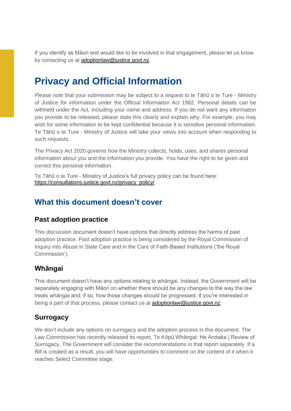If you identify as Māori and would like to be involved in that engagement, please let us know by contacting us at [adoptionlaw@justice.govt.nz.](mailto:adoptionlaw@justice.govt.nz)

### **Privacy and Official Information**

Please note that your submission may be subject to a request to te Tāhū o te Ture - Ministry of Justice for information under the Official Information Act 1982. Personal details can be withheld under the Act, including your name and address. If you do not want any information you provide to be released, please state this clearly and explain why. For example, you may wish for some information to be kept confidential because it is sensitive personal information. Te Tāhū o te Ture - Ministry of Justice will take your views into account when responding to such requests.

The Privacy Act 2020 governs how the Ministry collects, holds, uses, and shares personal information about you and the information you provide. You have the right to be given and correct this personal information.

Te Tāhū o te Ture - Ministry of Justice's full privacy policy can be found here: [https://consultations.justice.govt.nz/privacy\\_policy/](https://consultations.justice.govt.nz/privacy_policy/)

#### **What this document doesn't cover**

#### **Past adoption practice**

This discussion document doesn't have options that directly address the harms of past adoption practice. Past adoption practice is being considered by the Royal Commission of Inquiry into Abuse in State Care and in the Care of Faith-Based Institutions ('the Royal Commission').

#### **Whāngai**

This document doesn't have any options relating to whāngai. Instead, the Government will be separately engaging with Māori on whether there should be any changes to the way the law treats whāngai and, if so, how those changes should be progressed. If you're interested in being a part of that process, please contact us at [adoptionlaw@justice.govt.nz.](mailto:adoptionlaw@justice.govt.nz)

#### **Surrogacy**

We don't include any options on surrogacy and the adoption process in this document. The Law Commission has recently released its report, Te Kōpū Whāngai: He Arotake | Review of Surrogacy. The Government will consider the recommendations in that report separately. If a Bill is created as a result, you will have opportunities to comment on the content of it when it reaches Select Committee stage.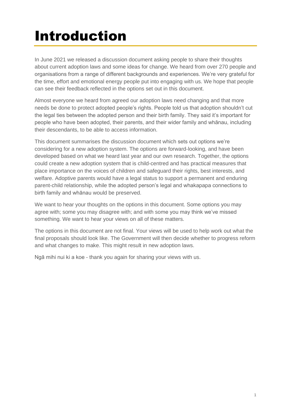### Introduction

In June 2021 we released a discussion document asking people to share their thoughts about current adoption laws and some ideas for change. We heard from over 270 people and organisations from a range of different backgrounds and experiences. We're very grateful for the time, effort and emotional energy people put into engaging with us. We hope that people can see their feedback reflected in the options set out in this document.

Almost everyone we heard from agreed our adoption laws need changing and that more needs be done to protect adopted people's rights. People told us that adoption shouldn't cut the legal ties between the adopted person and their birth family. They said it's important for people who have been adopted, their parents, and their wider family and whānau, including their descendants, to be able to access information.

This document summarises the discussion document which sets out options we're considering for a new adoption system. The options are forward-looking, and have been developed based on what we heard last year and our own research. Together, the options could create a new adoption system that is child-centred and has practical measures that place importance on the voices of children and safeguard their rights, best interests, and welfare. Adoptive parents would have a legal status to support a permanent and enduring parent-child relationship, while the adopted person's legal and whakapapa connections to birth family and whānau would be preserved.

We want to hear your thoughts on the options in this document. Some options you may agree with; some you may disagree with; and with some you may think we've missed something. We want to hear your views on all of these matters.

The options in this document are not final. Your views will be used to help work out what the final proposals should look like. The Government will then decide whether to progress reform and what changes to make. This might result in new adoption laws.

Ngā mihi nui ki a koe - thank you again for sharing your views with us.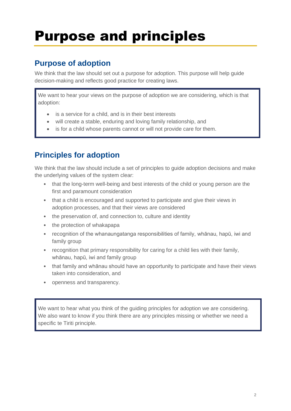## Purpose and principles

#### **Purpose of adoption**

We think that the law should set out a purpose for adoption. This purpose will help guide decision-making and reflects good practice for creating laws.

We want to hear your views on the purpose of adoption we are considering, which is that adoption:

- is a service for a child, and is in their best interests
- will create a stable, enduring and loving family relationship, and
- is for a child whose parents cannot or will not provide care for them.

### **Principles for adoption**

We think that the law should include a set of principles to guide adoption decisions and make the underlying values of the system clear:

- that the long-term well-being and best interests of the child or young person are the first and paramount consideration
- that a child is encouraged and supported to participate and give their views in adoption processes, and that their views are considered
- the preservation of, and connection to, culture and identity
- the protection of whakapapa
- recognition of the whanaungatanga responsibilities of family, whānau, hapū, iwi and family group
- recognition that primary responsibility for caring for a child lies with their family, whānau, hapū, iwi and family group
- that family and whānau should have an opportunity to participate and have their views taken into consideration, and
- openness and transparency.

We want to hear what you think of the quiding principles for adoption we are considering. We also want to know if you think there are any principles missing or whether we need a specific te Tiriti principle.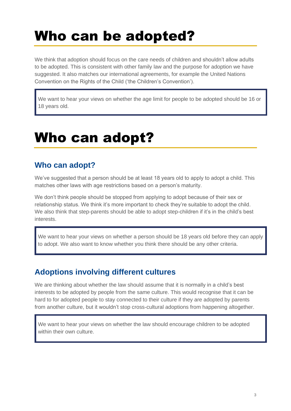## Who can be adopted?

We think that adoption should focus on the care needs of children and shouldn't allow adults to be adopted. This is consistent with other family law and the purpose for adoption we have suggested. It also matches our international agreements, for example the United Nations Convention on the Rights of the Child ('the Children's Convention').

We want to hear your views on whether the age limit for people to be adopted should be 16 or 18 years old.

## Who can adopt?

#### **Who can adopt?**

We've suggested that a person should be at least 18 years old to apply to adopt a child. This matches other laws with age restrictions based on a person's maturity.

We don't think people should be stopped from applying to adopt because of their sex or relationship status. We think it's more important to check they're suitable to adopt the child. We also think that step-parents should be able to adopt step-children if it's in the child's best interests.

We want to hear your views on whether a person should be 18 years old before they can apply to adopt. We also want to know whether you think there should be any other criteria.

#### **Adoptions involving different cultures**

We are thinking about whether the law should assume that it is normally in a child's best interests to be adopted by people from the same culture. This would recognise that it can be hard to for adopted people to stay connected to their culture if they are adopted by parents from another culture, but it wouldn't stop cross-cultural adoptions from happening altogether.

We want to hear your views on whether the law should encourage children to be adopted within their own culture.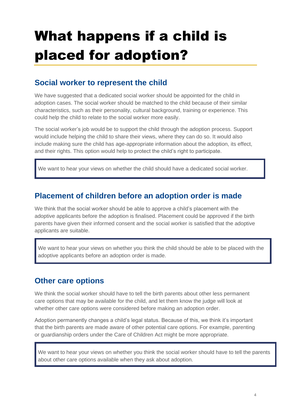# What happens if a child is placed for adoption?

#### **Social worker to represent the child**

We have suggested that a dedicated social worker should be appointed for the child in adoption cases. The social worker should be matched to the child because of their similar characteristics, such as their personality, cultural background, training or experience. This could help the child to relate to the social worker more easily.

The social worker's job would be to support the child through the adoption process. Support would include helping the child to share their views, where they can do so. It would also include making sure the child has age-appropriate information about the adoption, its effect, and their rights. This option would help to protect the child's right to participate.

We want to hear your views on whether the child should have a dedicated social worker.

#### **Placement of children before an adoption order is made**

We think that the social worker should be able to approve a child's placement with the adoptive applicants before the adoption is finalised. Placement could be approved if the birth parents have given their informed consent and the social worker is satisfied that the adoptive applicants are suitable.

We want to hear your views on whether you think the child should be able to be placed with the adoptive applicants before an adoption order is made.

#### **Other care options**

We think the social worker should have to tell the birth parents about other less permanent care options that may be available for the child, and let them know the judge will look at whether other care options were considered before making an adoption order.

Adoption permanently changes a child's legal status. Because of this, we think it's important that the birth parents are made aware of other potential care options. For example, parenting or guardianship orders under the Care of Children Act might be more appropriate.

We want to hear your views on whether you think the social worker should have to tell the parents about other care options available when they ask about adoption.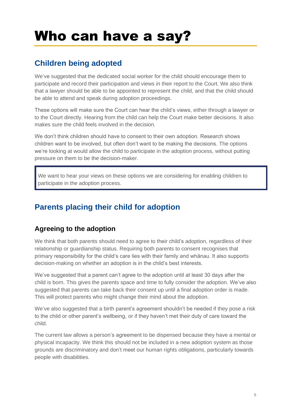### Who can have a say?

### **Children being adopted**

We've suggested that the dedicated social worker for the child should encourage them to participate and record their participation and views in their report to the Court. We also think that a lawyer should be able to be appointed to represent the child, and that the child should be able to attend and speak during adoption proceedings.

These options will make sure the Court can hear the child's views, either through a lawyer or to the Court directly. Hearing from the child can help the Court make better decisions. It also makes sure the child feels involved in the decision.

We don't think children should have to consent to their own adoption. Research shows children want to be involved, but often don't want to be making the decisions. The options we're looking at would allow the child to participate in the adoption process, without putting pressure on them to be the decision-maker.

We want to hear your views on these options we are considering for enabling children to participate in the adoption process.

### **Parents placing their child for adoption**

#### **Agreeing to the adoption**

We think that both parents should need to agree to their child's adoption, regardless of their relationship or guardianship status. Requiring both parents to consent recognises that primary responsibility for the child's care lies with their family and whānau. It also supports decision-making on whether an adoption is in the child's best interests.

We've suggested that a parent can't agree to the adoption until at least 30 days after the child is born. This gives the parents space and time to fully consider the adoption. We've also suggested that parents can take back their consent up until a final adoption order is made. This will protect parents who might change their mind about the adoption.

We've also suggested that a birth parent's agreement shouldn't be needed if they pose a risk to the child or other parent's wellbeing, or if they haven't met their duty of care toward the child.

The current law allows a person's agreement to be dispensed because they have a mental or physical incapacity. We think this should not be included in a new adoption system as those grounds are discriminatory and don't meet our human rights obligations, particularly towards people with disabilities.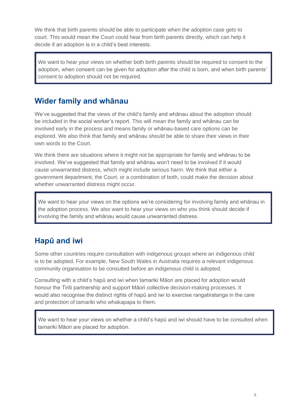We think that birth parents should be able to participate when the adoption case gets to court. This would mean the Court could hear from birth parents directly, which can help it decide if an adoption is in a child's best interests.

We want to hear your views on whether both birth parents should be required to consent to the adoption, when consent can be given for adoption after the child is born, and when birth parents' consent to adoption should not be required.

#### **Wider family and whānau**

We've suggested that the views of the child's family and whānau about the adoption should be included in the social worker's report. This will mean the family and whānau can be involved early in the process and means family or whānau-based care options can be explored. We also think that family and whānau should be able to share their views in their own words to the Court.

We think there are situations where it might not be appropriate for family and whānau to be involved. We've suggested that family and whānau won't need to be involved if it would cause unwarranted distress, which might include serious harm. We think that either a government department, the Court, or a combination of both, could make the decision about whether unwarranted distress might occur.

We want to hear your views on the options we're considering for involving family and whānau in the adoption process. We also want to hear your views on who you think should decide if involving the family and whānau would cause unwarranted distress.

#### **Hapū and iwi**

Some other countries require consultation with indigenous groups where an indigenous child is to be adopted. For example, New South Wales in Australia requires a relevant indigenous community organisation to be consulted before an indigenous child is adopted.

Consulting with a child's hapū and iwi when tamariki Māori are placed for adoption would honour the Tiriti partnership and support Māori collective decision-making processes. It would also recognise the distinct rights of hapū and iwi to exercise rangatiratanga in the care and protection of tamariki who whakapapa to them.

We want to hear your views on whether a child's hapū and iwi should have to be consulted when tamariki Māori are placed for adoption.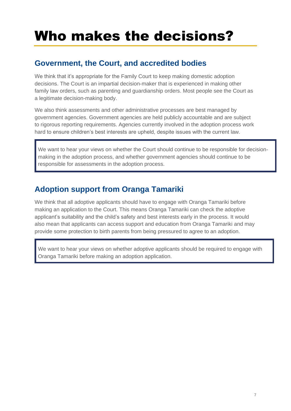## Who makes the decisions?

#### **Government, the Court, and accredited bodies**

We think that it's appropriate for the Family Court to keep making domestic adoption decisions. The Court is an impartial decision-maker that is experienced in making other family law orders, such as parenting and guardianship orders. Most people see the Court as a legitimate decision-making body.

We also think assessments and other administrative processes are best managed by government agencies. Government agencies are held publicly accountable and are subject to rigorous reporting requirements. Agencies currently involved in the adoption process work hard to ensure children's best interests are upheld, despite issues with the current law.

We want to hear your views on whether the Court should continue to be responsible for decisionmaking in the adoption process, and whether government agencies should continue to be responsible for assessments in the adoption process.

### **Adoption support from Oranga Tamariki**

We think that all adoptive applicants should have to engage with Oranga Tamariki before making an application to the Court. This means Oranga Tamariki can check the adoptive applicant's suitability and the child's safety and best interests early in the process. It would also mean that applicants can access support and education from Oranga Tamariki and may provide some protection to birth parents from being pressured to agree to an adoption.

We want to hear your views on whether adoptive applicants should be required to engage with Oranga Tamariki before making an adoption application.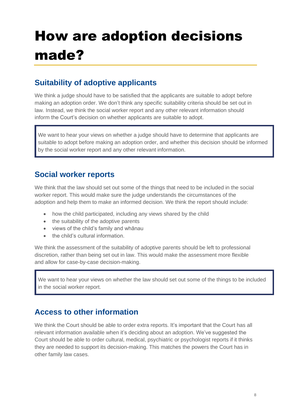# How are adoption decisions made?

### **Suitability of adoptive applicants**

We think a judge should have to be satisfied that the applicants are suitable to adopt before making an adoption order. We don't think any specific suitability criteria should be set out in law. Instead, we think the social worker report and any other relevant information should inform the Court's decision on whether applicants are suitable to adopt.

We want to hear your views on whether a judge should have to determine that applicants are suitable to adopt before making an adoption order, and whether this decision should be informed by the social worker report and any other relevant information.

#### **Social worker reports**

We think that the law should set out some of the things that need to be included in the social worker report. This would make sure the judge understands the circumstances of the adoption and help them to make an informed decision. We think the report should include:

- how the child participated, including any views shared by the child
- the suitability of the adoptive parents
- views of the child's family and whānau
- the child's cultural information.

We think the assessment of the suitability of adoptive parents should be left to professional discretion, rather than being set out in law. This would make the assessment more flexible and allow for case-by-case decision-making.

We want to hear your views on whether the law should set out some of the things to be included in the social worker report.

#### **Access to other information**

We think the Court should be able to order extra reports. It's important that the Court has all relevant information available when it's deciding about an adoption. We've suggested the Court should be able to order cultural, medical, psychiatric or psychologist reports if it thinks they are needed to support its decision-making. This matches the powers the Court has in other family law cases.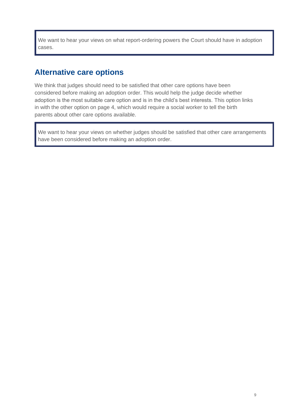We want to hear your views on what report-ordering powers the Court should have in adoption cases.

#### **Alternative care options**

We think that judges should need to be satisfied that other care options have been considered before making an adoption order. This would help the judge decide whether adoption is the most suitable care option and is in the child's best interests. This option links in with the other option on page 4, which would require a social worker to tell the birth parents about other care options available.

We want to hear your views on whether judges should be satisfied that other care arrangements have been considered before making an adoption order.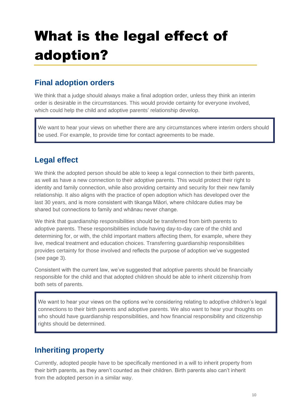# What is the legal effect of adoption?

### **Final adoption orders**

We think that a judge should always make a final adoption order, unless they think an interim order is desirable in the circumstances. This would provide certainty for everyone involved, which could help the child and adoptive parents' relationship develop.

We want to hear your views on whether there are any circumstances where interim orders should be used. For example, to provide time for contact agreements to be made.

#### **Legal effect**

We think the adopted person should be able to keep a legal connection to their birth parents, as well as have a new connection to their adoptive parents. This would protect their right to identity and family connection, while also providing certainty and security for their new family relationship. It also aligns with the practice of open adoption which has developed over the last 30 years, and is more consistent with tikanga Māori, where childcare duties may be shared but connections to family and whānau never change.

We think that guardianship responsibilities should be transferred from birth parents to adoptive parents. These responsibilities include having day-to-day care of the child and determining for, or with, the child important matters affecting them, for example, where they live, medical treatment and education choices. Transferring guardianship responsibilities provides certainty for those involved and reflects the purpose of adoption we've suggested (see page 3).

Consistent with the current law, we've suggested that adoptive parents should be financially responsible for the child and that adopted children should be able to inherit citizenship from both sets of parents.

We want to hear your views on the options we're considering relating to adoptive children's legal connections to their birth parents and adoptive parents. We also want to hear your thoughts on who should have guardianship responsibilities, and how financial responsibility and citizenship rights should be determined.

#### **Inheriting property**

Currently, adopted people have to be specifically mentioned in a will to inherit property from their birth parents, as they aren't counted as their children. Birth parents also can't inherit from the adopted person in a similar way.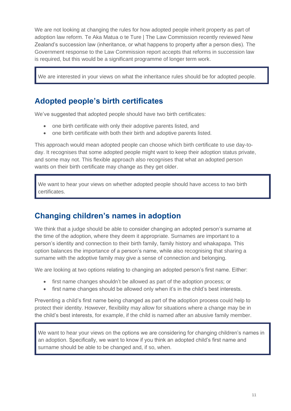We are not looking at changing the rules for how adopted people inherit property as part of adoption law reform. Te Aka Matua o te Ture | The Law Commission recently reviewed New Zealand's succession law (inheritance, or what happens to property after a person dies). The Government response to the Law Commission report accepts that reforms in succession law is required, but this would be a significant programme of longer term work.

We are interested in your views on what the inheritance rules should be for adopted people.

#### **Adopted people's birth certificates**

We've suggested that adopted people should have two birth certificates:

- one birth certificate with only their adoptive parents listed, and
- one birth certificate with both their birth and adoptive parents listed.

This approach would mean adopted people can choose which birth certificate to use day-today. It recognises that some adopted people might want to keep their adoption status private, and some may not. This flexible approach also recognises that what an adopted person wants on their birth certificate may change as they get older.

We want to hear your views on whether adopted people should have access to two birth certificates.

#### **Changing children's names in adoption**

We think that a judge should be able to consider changing an adopted person's surname at the time of the adoption, where they deem it appropriate. Surnames are important to a person's identity and connection to their birth family, family history and whakapapa. This option balances the importance of a person's name, while also recognising that sharing a surname with the adoptive family may give a sense of connection and belonging.

We are looking at two options relating to changing an adopted person's first name. Either:

- first name changes shouldn't be allowed as part of the adoption process; or
- first name changes should be allowed only when it's in the child's best interests.

Preventing a child's first name being changed as part of the adoption process could help to protect their identity. However, flexibility may allow for situations where a change may be in the child's best interests, for example, if the child is named after an abusive family member.

We want to hear your views on the options we are considering for changing children's names in an adoption. Specifically, we want to know if you think an adopted child's first name and surname should be able to be changed and, if so, when.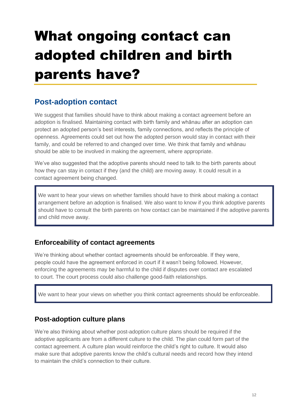# What ongoing contact can adopted children and birth parents have?

#### **Post-adoption contact**

We suggest that families should have to think about making a contact agreement before an adoption is finalised. Maintaining contact with birth family and whānau after an adoption can protect an adopted person's best interests, family connections, and reflects the principle of openness. Agreements could set out how the adopted person would stay in contact with their family, and could be referred to and changed over time. We think that family and whānau should be able to be involved in making the agreement, where appropriate.

We've also suggested that the adoptive parents should need to talk to the birth parents about how they can stay in contact if they (and the child) are moving away. It could result in a contact agreement being changed.

We want to hear your views on whether families should have to think about making a contact arrangement before an adoption is finalised. We also want to know if you think adoptive parents should have to consult the birth parents on how contact can be maintained if the adoptive parents and child move away.

#### **Enforceability of contact agreements**

We're thinking about whether contact agreements should be enforceable. If they were, people could have the agreement enforced in court if it wasn't being followed. However, enforcing the agreements may be harmful to the child if disputes over contact are escalated to court. The court process could also challenge good-faith relationships.

We want to hear your views on whether you think contact agreements should be enforceable.

#### **Post-adoption culture plans**

We're also thinking about whether post-adoption culture plans should be required if the adoptive applicants are from a different culture to the child. The plan could form part of the contact agreement. A culture plan would reinforce the child's right to culture. It would also make sure that adoptive parents know the child's cultural needs and record how they intend to maintain the child's connection to their culture.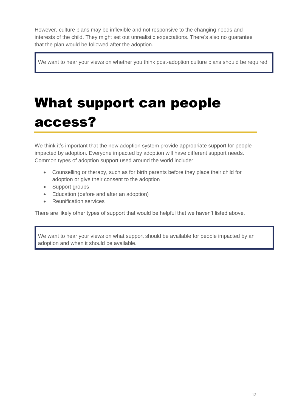However, culture plans may be inflexible and not responsive to the changing needs and interests of the child. They might set out unrealistic expectations. There's also no guarantee that the plan would be followed after the adoption.

We want to hear your views on whether you think post-adoption culture plans should be required.

## What support can people access?

We think it's important that the new adoption system provide appropriate support for people impacted by adoption. Everyone impacted by adoption will have different support needs. Common types of adoption support used around the world include:

- Counselling or therapy, such as for birth parents before they place their child for adoption or give their consent to the adoption
- Support groups
- Education (before and after an adoption)
- Reunification services

There are likely other types of support that would be helpful that we haven't listed above.

We want to hear your views on what support should be available for people impacted by an adoption and when it should be available.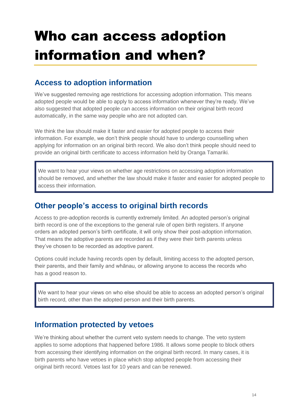# Who can access adoption information and when?

#### **Access to adoption information**

We've suggested removing age restrictions for accessing adoption information. This means adopted people would be able to apply to access information whenever they're ready. We've also suggested that adopted people can access information on their original birth record automatically, in the same way people who are not adopted can.

We think the law should make it faster and easier for adopted people to access their information. For example, we don't think people should have to undergo counselling when applying for information on an original birth record. We also don't think people should need to provide an original birth certificate to access information held by Oranga Tamariki.

We want to hear your views on whether age restrictions on accessing adoption information should be removed, and whether the law should make it faster and easier for adopted people to access their information.

#### **Other people's access to original birth records**

Access to pre-adoption records is currently extremely limited. An adopted person's original birth record is one of the exceptions to the general rule of open birth registers. If anyone orders an adopted person's birth certificate, it will only show their post-adoption information. That means the adoptive parents are recorded as if they were their birth parents unless they've chosen to be recorded as adoptive parent.

Options could include having records open by default, limiting access to the adopted person, their parents, and their family and whānau, or allowing anyone to access the records who has a good reason to.

We want to hear your views on who else should be able to access an adopted person's original birth record, other than the adopted person and their birth parents.

#### **Information protected by vetoes**

We're thinking about whether the current veto system needs to change. The veto system applies to some adoptions that happened before 1986. It allows some people to block others from accessing their identifying information on the original birth record. In many cases, it is birth parents who have vetoes in place which stop adopted people from accessing their original birth record. Vetoes last for 10 years and can be renewed.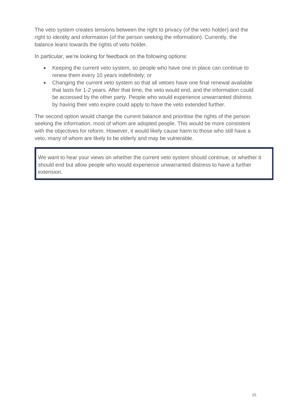The veto system creates tensions between the right to privacy (of the veto holder) and the right to identity and information (of the person seeking the information). Currently, the balance leans towards the rights of veto holder.

In particular, we're looking for feedback on the following options:

- Keeping the current veto system, so people who have one in place can continue to renew them every 10 years indefinitely; or
- Changing the current veto system so that all vetoes have one final renewal available that lasts for 1-2 years. After that time, the veto would end, and the information could be accessed by the other party. People who would experience unwarranted distress by having their veto expire could apply to have the veto extended further.

The second option would change the current balance and prioritise the rights of the person seeking the information, most of whom are adopted people. This would be more consistent with the objectives for reform. However, it would likely cause harm to those who still have a veto, many of whom are likely to be elderly and may be vulnerable.

We want to hear your views on whether the current veto system should continue, or whether it should end but allow people who would experience unwarranted distress to have a further extension.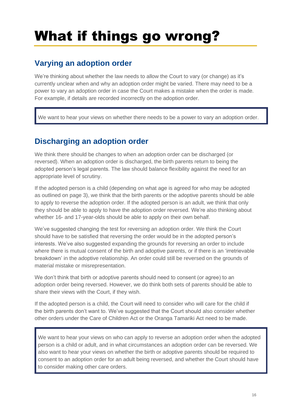## What if things go wrong?

#### **Varying an adoption order**

We're thinking about whether the law needs to allow the Court to vary (or change) as it's currently unclear when and why an adoption order might be varied. There may need to be a power to vary an adoption order in case the Court makes a mistake when the order is made. For example, if details are recorded incorrectly on the adoption order.

We want to hear your views on whether there needs to be a power to vary an adoption order.

#### **Discharging an adoption order**

We think there should be changes to when an adoption order can be discharged (or reversed). When an adoption order is discharged, the birth parents return to being the adopted person's legal parents. The law should balance flexibility against the need for an appropriate level of scrutiny.

If the adopted person is a child (depending on what age is agreed for who may be adopted as outlined on page 3), we think that the birth parents or the adoptive parents should be able to apply to reverse the adoption order. If the adopted person is an adult, we think that only they should be able to apply to have the adoption order reversed. We're also thinking about whether 16- and 17-year-olds should be able to apply on their own behalf.

We've suggested changing the test for reversing an adoption order. We think the Court should have to be satisfied that reversing the order would be in the adopted person's interests. We've also suggested expanding the grounds for reversing an order to include where there is mutual consent of the birth and adoptive parents, or if there is an 'irretrievable breakdown' in the adoptive relationship. An order could still be reversed on the grounds of material mistake or misrepresentation.

We don't think that birth or adoptive parents should need to consent (or agree) to an adoption order being reversed. However, we do think both sets of parents should be able to share their views with the Court, if they wish.

If the adopted person is a child, the Court will need to consider who will care for the child if the birth parents don't want to. We've suggested that the Court should also consider whether other orders under the Care of Children Act or the Oranga Tamariki Act need to be made.

We want to hear your views on who can apply to reverse an adoption order when the adopted person is a child or adult, and in what circumstances an adoption order can be reversed. We also want to hear your views on whether the birth or adoptive parents should be required to consent to an adoption order for an adult being reversed, and whether the Court should have to consider making other care orders.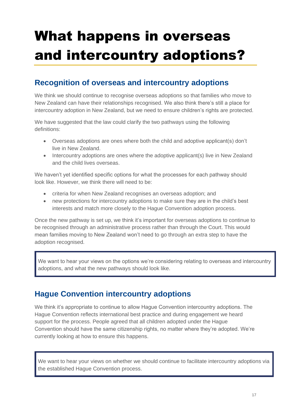# What happens in overseas and intercountry adoptions?

#### **Recognition of overseas and intercountry adoptions**

We think we should continue to recognise overseas adoptions so that families who move to New Zealand can have their relationships recognised. We also think there's still a place for intercountry adoption in New Zealand, but we need to ensure children's rights are protected.

We have suggested that the law could clarify the two pathways using the following definitions:

- Overseas adoptions are ones where both the child and adoptive applicant(s) don't live in New Zealand.
- Intercountry adoptions are ones where the adoptive applicant(s) live in New Zealand and the child lives overseas.

We haven't vet identified specific options for what the processes for each pathway should look like. However, we think there will need to be:

- criteria for when New Zealand recognises an overseas adoption; and
- new protections for intercountry adoptions to make sure they are in the child's best interests and match more closely to the Hague Convention adoption process.

Once the new pathway is set up, we think it's important for overseas adoptions to continue to be recognised through an administrative process rather than through the Court. This would mean families moving to New Zealand won't need to go through an extra step to have the adoption recognised.

We want to hear your views on the options we're considering relating to overseas and intercountry adoptions, and what the new pathways should look like.

#### **Hague Convention intercountry adoptions**

We think it's appropriate to continue to allow Hague Convention intercountry adoptions. The Hague Convention reflects international best practice and during engagement we heard support for the process. People agreed that all children adopted under the Hague Convention should have the same citizenship rights, no matter where they're adopted. We're currently looking at how to ensure this happens.

We want to hear your views on whether we should continue to facilitate intercountry adoptions via the established Hague Convention process.